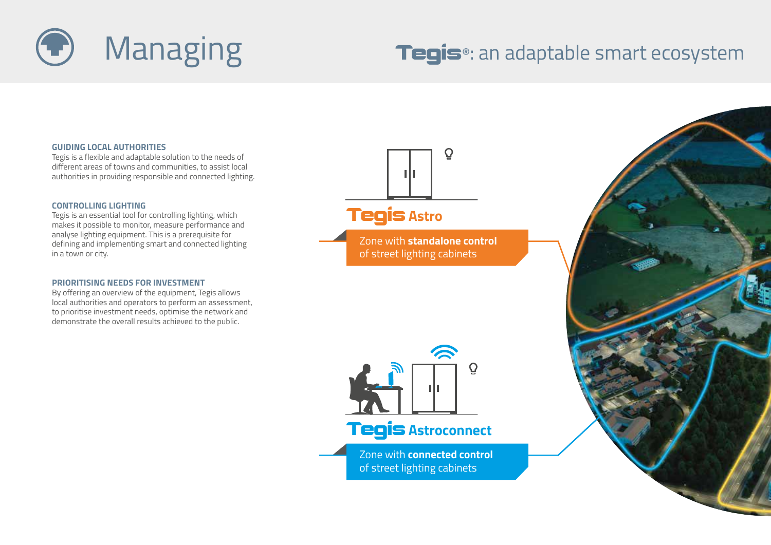

## Tegis**®**: an adaptable smart ecosystem

### **GUIDING LOCAL AUTHORITIES**

Tegis is a flexible and adaptable solution to the needs of different areas of towns and communities, to assist local authorities in providing responsible and connected lighting.

### **CONTROLLING LIGHTING**

Tegis is an essential tool for controlling lighting, which makes it possible to monitor, measure performance and analyse lighting equipment. This is a prerequisite for defining and implementing smart and connected lighting in a town or city.

### **PRIORITISING NEEDS FOR INVESTMENT**

By offering an overview of the equipment, Tegis allows local authorities and operators to perform an assessment, to prioritise investment needs, optimise the network and demonstrate the overall results achieved to the public.





Zone with **connected control**  of street lighting cabinets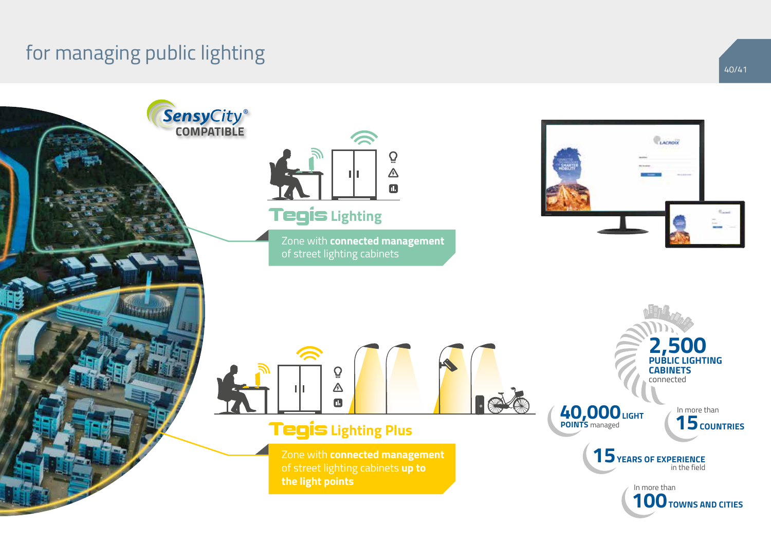# for managing public lighting

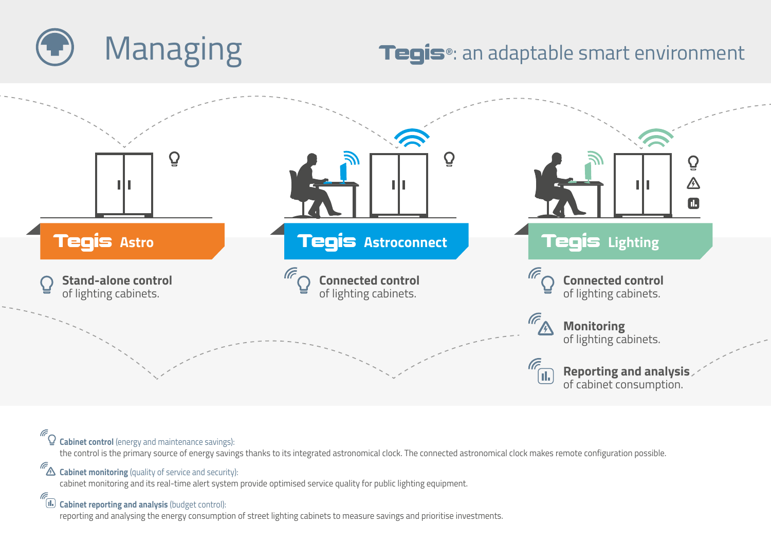

# Managing **Tegis**®: an adaptable smart environment



*C* Cabinet control (energy and maintenance savings): the control is the primary source of energy savings thanks to its integrated astronomical clock. The connected astronomical clock makes remote configuration possible.

*Cabinet monitoring* (quality of service and security):

cabinet monitoring and its real-time alert system provide optimised service quality for public lighting equipment.

 **Cabinet reporting and analysis** (budget control):

reporting and analysing the energy consumption of street lighting cabinets to measure savings and prioritise investments.